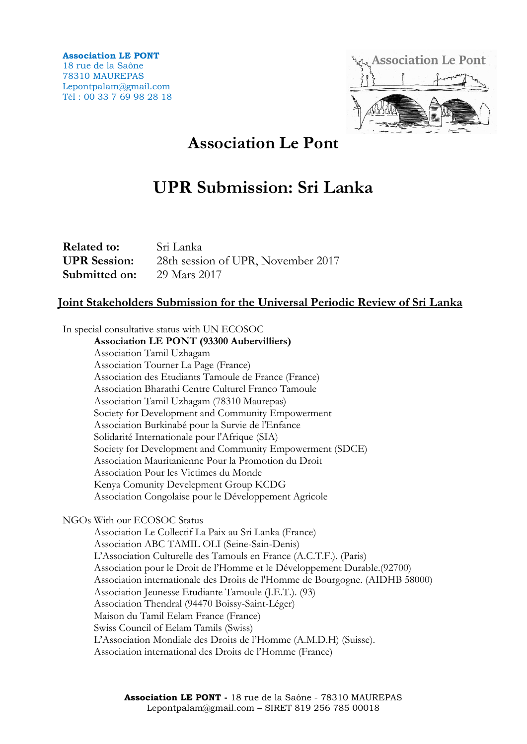**Association LE PONT** 18 rue de la Saône 78310 MAUREPAS Lepontpalam@gmail.com Tél : 00 33 7 69 98 28 18



## **Association Le Pont**

# **UPR Submission: Sri Lanka**

| <b>Related to:</b>  | Sri Lanka                          |
|---------------------|------------------------------------|
| <b>UPR</b> Session: | 28th session of UPR, November 2017 |
| Submitted on:       | 29 Mars 2017                       |

## **Joint Stakeholders Submission for the Universal Periodic Review of Sri Lanka**

In special consultative status with UN ECOSOC

**Association LE PONT (93300 Aubervilliers)** Association Tamil Uzhagam Association Tourner La Page (France) Association des Etudiants Tamoule de France (France) Association Bharathi Centre Culturel Franco Tamoule Association Tamil Uzhagam (78310 Maurepas) Society for Development and Community Empowerment Association Burkinabé pour la Survie de l'Enfance Solidarité Internationale pour l'Afrique (SIA) Society for Development and Community Empowerment (SDCE) Association Mauritanienne Pour la Promotion du Droit Association Pour les Victimes du Monde Kenya Comunity Develepment Group KCDG Association Congolaise pour le Développement Agricole

NGOs With our ECOSOC Status

Association Le Collectif La Paix au Sri Lanka (France) Association ABC TAMIL OLI (Seine-Sain-Denis) L'Association Culturelle des Tamouls en France (A.C.T.F.). (Paris) Association pour le Droit de l'Homme et le Développement Durable.(92700) Association internationale des Droits de l'Homme de Bourgogne. (AIDHB 58000) Association Jeunesse Etudiante Tamoule (J.E.T.). (93) Association Thendral (94470 Boissy-Saint-Léger) Maison du Tamil Eelam France (France) Swiss Council of Eelam Tamils (Swiss) L'Association Mondiale des Droits de l'Homme (A.M.D.H) (Suisse). Association international des Droits de l'Homme (France)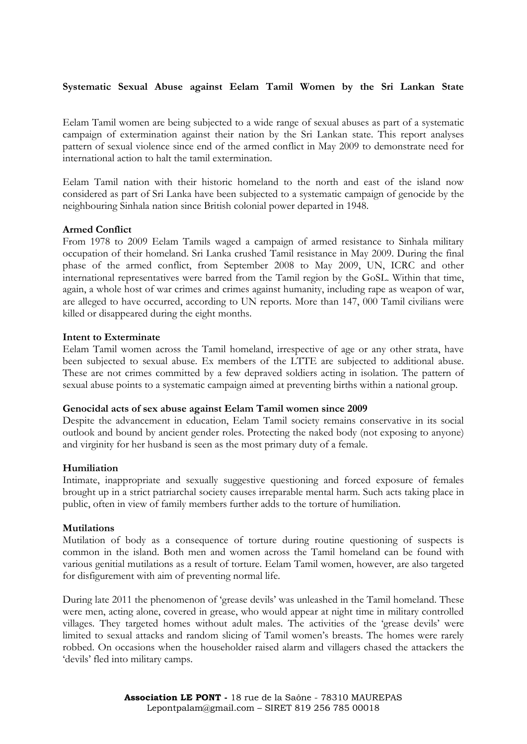### **Systematic Sexual Abuse against Eelam Tamil Women by the Sri Lankan State**

Eelam Tamil women are being subjected to a wide range of sexual abuses as part of a systematic campaign of extermination against their nation by the Sri Lankan state. This report analyses pattern of sexual violence since end of the armed conflict in May 2009 to demonstrate need for international action to halt the tamil extermination.

Eelam Tamil nation with their historic homeland to the north and east of the island now considered as part of Sri Lanka have been subjected to a systematic campaign of genocide by the neighbouring Sinhala nation since British colonial power departed in 1948.

#### **Armed Conflict**

From 1978 to 2009 Eelam Tamils waged a campaign of armed resistance to Sinhala military occupation of their homeland. Sri Lanka crushed Tamil resistance in May 2009. During the final phase of the armed conflict, from September 2008 to May 2009, UN, ICRC and other international representatives were barred from the Tamil region by the GoSL. Within that time, again, a whole host of war crimes and crimes against humanity, including rape as weapon of war, are alleged to have occurred, according to UN reports. More than 147, 000 Tamil civilians were killed or disappeared during the eight months.

#### **Intent to Exterminate**

Eelam Tamil women across the Tamil homeland, irrespective of age or any other strata, have been subjected to sexual abuse. Ex members of the LTTE are subjected to additional abuse. These are not crimes committed by a few depraved soldiers acting in isolation. The pattern of sexual abuse points to a systematic campaign aimed at preventing births within a national group.

#### **Genocidal acts of sex abuse against Eelam Tamil women since 2009**

Despite the advancement in education, Eelam Tamil society remains conservative in its social outlook and bound by ancient gender roles. Protecting the naked body (not exposing to anyone) and virginity for her husband is seen as the most primary duty of a female.

#### **Humiliation**

Intimate, inappropriate and sexually suggestive questioning and forced exposure of females brought up in a strict patriarchal society causes irreparable mental harm. Such acts taking place in public, often in view of family members further adds to the torture of humiliation.

#### **Mutilations**

Mutilation of body as a consequence of torture during routine questioning of suspects is common in the island. Both men and women across the Tamil homeland can be found with various genitial mutilations as a result of torture. Eelam Tamil women, however, are also targeted for disfigurement with aim of preventing normal life.

During late 2011 the phenomenon of 'grease devils' was unleashed in the Tamil homeland. These were men, acting alone, covered in grease, who would appear at night time in military controlled villages. They targeted homes without adult males. The activities of the 'grease devils' were limited to sexual attacks and random slicing of Tamil women's breasts. The homes were rarely robbed. On occasions when the householder raised alarm and villagers chased the attackers the 'devils' fled into military camps.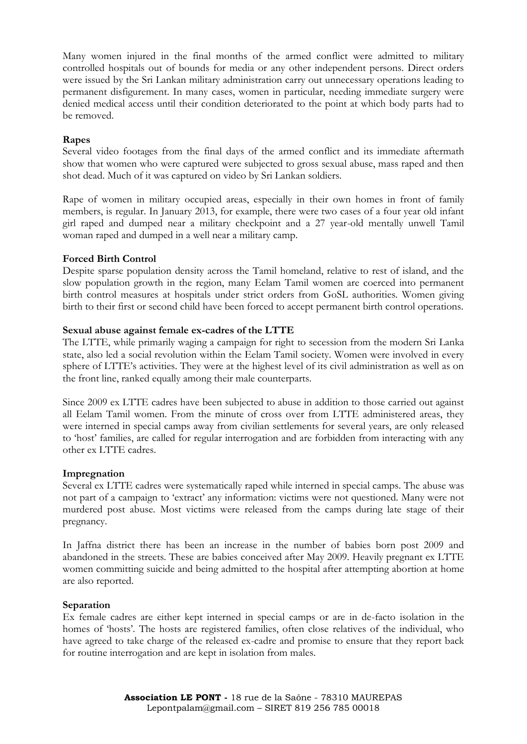Many women injured in the final months of the armed conflict were admitted to military controlled hospitals out of bounds for media or any other independent persons. Direct orders were issued by the Sri Lankan military administration carry out unnecessary operations leading to permanent disfigurement. In many cases, women in particular, needing immediate surgery were denied medical access until their condition deteriorated to the point at which body parts had to be removed.

## **Rapes**

Several video footages from the final days of the armed conflict and its immediate aftermath show that women who were captured were subjected to gross sexual abuse, mass raped and then shot dead. Much of it was captured on video by Sri Lankan soldiers.

Rape of women in military occupied areas, especially in their own homes in front of family members, is regular. In January 2013, for example, there were two cases of a four year old infant girl raped and dumped near a military checkpoint and a 27 year-old mentally unwell Tamil woman raped and dumped in a well near a military camp.

## **Forced Birth Control**

Despite sparse population density across the Tamil homeland, relative to rest of island, and the slow population growth in the region, many Eelam Tamil women are coerced into permanent birth control measures at hospitals under strict orders from GoSL authorities. Women giving birth to their first or second child have been forced to accept permanent birth control operations.

#### **Sexual abuse against female ex-cadres of the LTTE**

The LTTE, while primarily waging a campaign for right to secession from the modern Sri Lanka state, also led a social revolution within the Eelam Tamil society. Women were involved in every sphere of LTTE's activities. They were at the highest level of its civil administration as well as on the front line, ranked equally among their male counterparts.

Since 2009 ex LTTE cadres have been subjected to abuse in addition to those carried out against all Eelam Tamil women. From the minute of cross over from LTTE administered areas, they were interned in special camps away from civilian settlements for several years, are only released to 'host' families, are called for regular interrogation and are forbidden from interacting with any other ex LTTE cadres.

#### **Impregnation**

Several ex LTTE cadres were systematically raped while interned in special camps. The abuse was not part of a campaign to 'extract' any information: victims were not questioned. Many were not murdered post abuse. Most victims were released from the camps during late stage of their pregnancy.

In Jaffna district there has been an increase in the number of babies born post 2009 and abandoned in the streets. These are babies conceived after May 2009. Heavily pregnant ex LTTE women committing suicide and being admitted to the hospital after attempting abortion at home are also reported.

#### **Separation**

Ex female cadres are either kept interned in special camps or are in de-facto isolation in the homes of 'hosts'. The hosts are registered families, often close relatives of the individual, who have agreed to take charge of the released ex-cadre and promise to ensure that they report back for routine interrogation and are kept in isolation from males.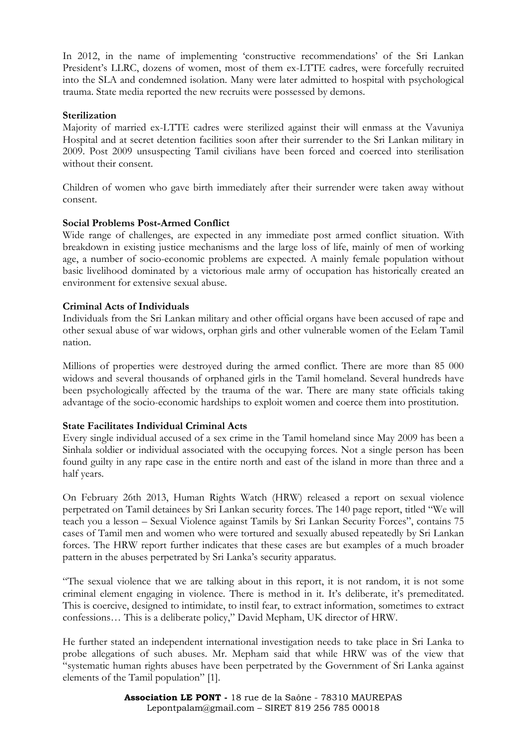In 2012, in the name of implementing 'constructive recommendations' of the Sri Lankan President's LLRC, dozens of women, most of them ex-LTTE cadres, were forcefully recruited into the SLA and condemned isolation. Many were later admitted to hospital with psychological trauma. State media reported the new recruits were possessed by demons.

### **Sterilization**

Majority of married ex-LTTE cadres were sterilized against their will enmass at the Vavuniya Hospital and at secret detention facilities soon after their surrender to the Sri Lankan military in 2009. Post 2009 unsuspecting Tamil civilians have been forced and coerced into sterilisation without their consent.

Children of women who gave birth immediately after their surrender were taken away without consent.

## **Social Problems Post-Armed Conflict**

Wide range of challenges, are expected in any immediate post armed conflict situation. With breakdown in existing justice mechanisms and the large loss of life, mainly of men of working age, a number of socio-economic problems are expected. A mainly female population without basic livelihood dominated by a victorious male army of occupation has historically created an environment for extensive sexual abuse.

## **Criminal Acts of Individuals**

Individuals from the Sri Lankan military and other official organs have been accused of rape and other sexual abuse of war widows, orphan girls and other vulnerable women of the Eelam Tamil nation.

Millions of properties were destroyed during the armed conflict. There are more than 85 000 widows and several thousands of orphaned girls in the Tamil homeland. Several hundreds have been psychologically affected by the trauma of the war. There are many state officials taking advantage of the socio-economic hardships to exploit women and coerce them into prostitution.

#### **State Facilitates Individual Criminal Acts**

Every single individual accused of a sex crime in the Tamil homeland since May 2009 has been a Sinhala soldier or individual associated with the occupying forces. Not a single person has been found guilty in any rape case in the entire north and east of the island in more than three and a half years.

On February 26th 2013, Human Rights Watch (HRW) released a report on sexual violence perpetrated on Tamil detainees by Sri Lankan security forces. The 140 page report, titled "We will teach you a lesson – Sexual Violence against Tamils by Sri Lankan Security Forces", contains 75 cases of Tamil men and women who were tortured and sexually abused repeatedly by Sri Lankan forces. The HRW report further indicates that these cases are but examples of a much broader pattern in the abuses perpetrated by Sri Lanka's security apparatus.

"The sexual violence that we are talking about in this report, it is not random, it is not some criminal element engaging in violence. There is method in it. It's deliberate, it's premeditated. This is coercive, designed to intimidate, to instil fear, to extract information, sometimes to extract confessions… This is a deliberate policy," David Mepham, UK director of HRW.

He further stated an independent international investigation needs to take place in Sri Lanka to probe allegations of such abuses. Mr. Mepham said that while HRW was of the view that "systematic human rights abuses have been perpetrated by the Government of Sri Lanka against elements of the Tamil population" [1].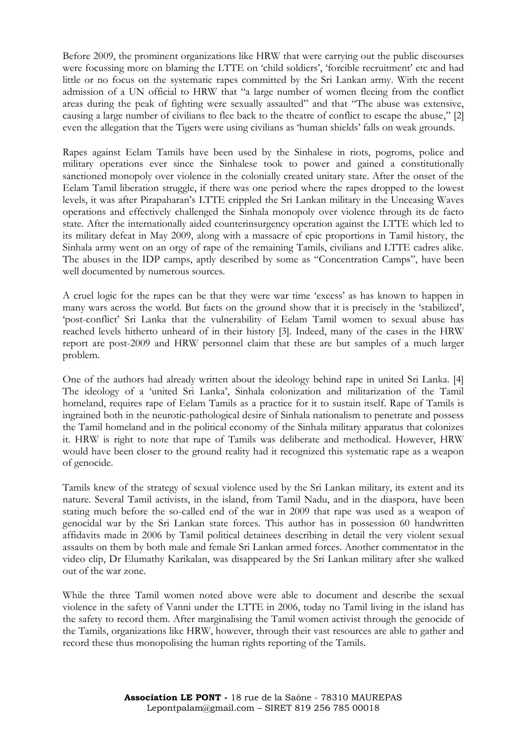Before 2009, the prominent organizations like HRW that were carrying out the public discourses were focussing more on blaming the LTTE on 'child soldiers', 'forcible recruitment' etc and had little or no focus on the systematic rapes committed by the Sri Lankan army. With the recent admission of a UN official to HRW that "a large number of women fleeing from the conflict areas during the peak of fighting were sexually assaulted" and that "The abuse was extensive, causing a large number of civilians to flee back to the theatre of conflict to escape the abuse," [2] even the allegation that the Tigers were using civilians as 'human shields' falls on weak grounds.

Rapes against Eelam Tamils have been used by the Sinhalese in riots, pogroms, police and military operations ever since the Sinhalese took to power and gained a constitutionally sanctioned monopoly over violence in the colonially created unitary state. After the onset of the Eelam Tamil liberation struggle, if there was one period where the rapes dropped to the lowest levels, it was after Pirapaharan's LTTE crippled the Sri Lankan military in the Unceasing Waves operations and effectively challenged the Sinhala monopoly over violence through its de facto state. After the internationally aided counterinsurgency operation against the LTTE which led to its military defeat in May 2009, along with a massacre of epic proportions in Tamil history, the Sinhala army went on an orgy of rape of the remaining Tamils, civilians and LTTE cadres alike. The abuses in the IDP camps, aptly described by some as "Concentration Camps", have been well documented by numerous sources.

A cruel logic for the rapes can be that they were war time 'excess' as has known to happen in many wars across the world. But facts on the ground show that it is precisely in the 'stabilized', 'post-conflict' Sri Lanka that the vulnerability of Eelam Tamil women to sexual abuse has reached levels hitherto unheard of in their history [3]. Indeed, many of the cases in the HRW report are post-2009 and HRW personnel claim that these are but samples of a much larger problem.

One of the authors had already written about the ideology behind rape in united Sri Lanka. [4] The ideology of a 'united Sri Lanka', Sinhala colonization and militarization of the Tamil homeland, requires rape of Eelam Tamils as a practice for it to sustain itself. Rape of Tamils is ingrained both in the neurotic-pathological desire of Sinhala nationalism to penetrate and possess the Tamil homeland and in the political economy of the Sinhala military apparatus that colonizes it. HRW is right to note that rape of Tamils was deliberate and methodical. However, HRW would have been closer to the ground reality had it recognized this systematic rape as a weapon of genocide.

Tamils knew of the strategy of sexual violence used by the Sri Lankan military, its extent and its nature. Several Tamil activists, in the island, from Tamil Nadu, and in the diaspora, have been stating much before the so-called end of the war in 2009 that rape was used as a weapon of genocidal war by the Sri Lankan state forces. This author has in possession 60 handwritten affidavits made in 2006 by Tamil political detainees describing in detail the very violent sexual assaults on them by both male and female Sri Lankan armed forces. Another commentator in the video clip, Dr Elumathy Karikalan, was disappeared by the Sri Lankan military after she walked out of the war zone.

While the three Tamil women noted above were able to document and describe the sexual violence in the safety of Vanni under the LTTE in 2006, today no Tamil living in the island has the safety to record them. After marginalising the Tamil women activist through the genocide of the Tamils, organizations like HRW, however, through their vast resources are able to gather and record these thus monopolising the human rights reporting of the Tamils.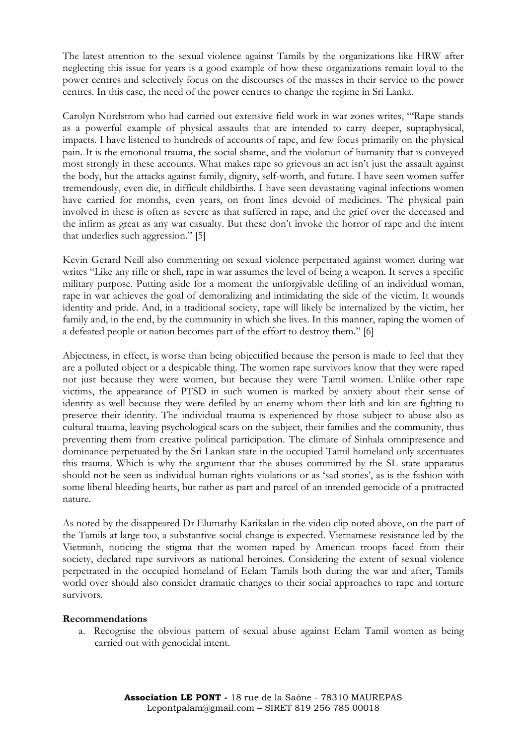The latest attention to the sexual violence against Tamils by the organizations like HRW after neglecting this issue for years is a good example of how these organizations remain loyal to the power centres and selectively focus on the discourses of the masses in their service to the power centres. In this case, the need of the power centres to change the regime in Sri Lanka.

Carolyn Nordstrom who had carried out extensive field work in war zones writes, "'Rape stands as a powerful example of physical assaults that are intended to carry deeper, supraphysical, impacts. I have listened to hundreds of accounts of rape, and few focus primarily on the physical pain. It is the emotional trauma, the social shame, and the violation of humanity that is conveyed most strongly in these accounts. What makes rape so grievous an act isn't just the assault against the body, but the attacks against family, dignity, self-worth, and future. I have seen women suffer tremendously, even die, in difficult childbirths. I have seen devastating vaginal infections women have carried for months, even years, on front lines devoid of medicines. The physical pain involved in these is often as severe as that suffered in rape, and the grief over the deceased and the infirm as great as any war casualty. But these don't invoke the horror of rape and the intent that underlies such aggression." [5]

Kevin Gerard Neill also commenting on sexual violence perpetrated against women during war writes "Like any rifle or shell, rape in war assumes the level of being a weapon. It serves a specific military purpose. Putting aside for a moment the unforgivable defiling of an individual woman, rape in war achieves the goal of demoralizing and intimidating the side of the victim. It wounds identity and pride. And, in a traditional society, rape will likely be internalized by the victim, her family and, in the end, by the community in which she lives. In this manner, raping the women of a defeated people or nation becomes part of the effort to destroy them." [6]

Abjectness, in effect, is worse than being objectified because the person is made to feel that they are a polluted object or a despicable thing. The women rape survivors know that they were raped not just because they were women, but because they were Tamil women. Unlike other rape victims, the appearance of PTSD in such women is marked by anxiety about their sense of identity as well because they were defiled by an enemy whom their kith and kin are fighting to preserve their identity. The individual trauma is experienced by those subject to abuse also as cultural trauma, leaving psychological scars on the subject, their families and the community, thus preventing them from creative political participation. The climate of Sinhala omnipresence and dominance perpetuated by the Sri Lankan state in the occupied Tamil homeland only accentuates this trauma. Which is why the argument that the abuses committed by the SL state apparatus should not be seen as individual human rights violations or as 'sad stories', as is the fashion with some liberal bleeding hearts, but rather as part and parcel of an intended genocide of a protracted nature.

As noted by the disappeared Dr Elumathy Karikalan in the video clip noted above, on the part of the Tamils at large too, a substantive social change is expected. Vietnamese resistance led by the Vietminh, noticing the stigma that the women raped by American troops faced from their society, declared rape survivors as national heroines. Considering the extent of sexual violence perpetrated in the occupied homeland of Eelam Tamils both during the war and after, Tamils world over should also consider dramatic changes to their social approaches to rape and torture survivors.

#### **Recommendations**

a. Recognise the obvious pattern of sexual abuse against Eelam Tamil women as being carried out with genocidal intent.